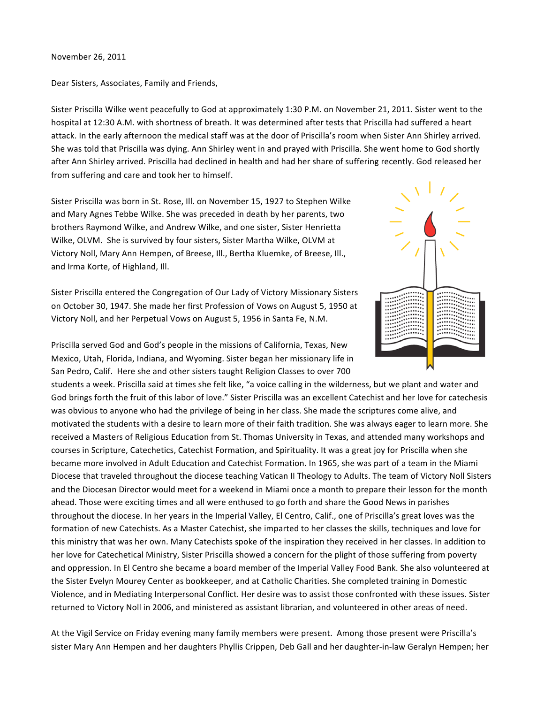November 26, 2011

Dear Sisters, Associates, Family and Friends,

Sister Priscilla Wilke went peacefully to God at approximately 1:30 P.M. on November 21, 2011. Sister went to the hospital at 12:30 A.M. with shortness of breath. It was determined after tests that Priscilla had suffered a heart attack. In the early afternoon the medical staff was at the door of Priscilla's room when Sister Ann Shirley arrived. She was told that Priscilla was dying. Ann Shirley went in and prayed with Priscilla. She went home to God shortly after Ann Shirley arrived. Priscilla had declined in health and had her share of suffering recently. God released her from suffering and care and took her to himself.

Sister Priscilla was born in St. Rose, Ill. on November 15, 1927 to Stephen Wilke and Mary Agnes Tebbe Wilke. She was preceded in death by her parents, two brothers Raymond Wilke, and Andrew Wilke, and one sister, Sister Henrietta Wilke, OLVM. She is survived by four sisters, Sister Martha Wilke, OLVM at Victory Noll, Mary Ann Hempen, of Breese, Ill., Bertha Kluemke, of Breese, Ill., and Irma Korte, of Highland, Ill.

Sister Priscilla entered the Congregation of Our Lady of Victory Missionary Sisters on October 30, 1947. She made her first Profession of Vows on August 5, 1950 at Victory Noll, and her Perpetual Vows on August 5, 1956 in Santa Fe, N.M.



Priscilla served God and God's people in the missions of California, Texas, New Mexico, Utah, Florida, Indiana, and Wyoming. Sister began her missionary life in San Pedro, Calif. Here she and other sisters taught Religion Classes to over 700

students a week. Priscilla said at times she felt like, "a voice calling in the wilderness, but we plant and water and God brings forth the fruit of this labor of love." Sister Priscilla was an excellent Catechist and her love for catechesis was obvious to anyone who had the privilege of being in her class. She made the scriptures come alive, and motivated the students with a desire to learn more of their faith tradition. She was always eager to learn more. She received a Masters of Religious Education from St. Thomas University in Texas, and attended many workshops and courses in Scripture, Catechetics, Catechist Formation, and Spirituality. It was a great joy for Priscilla when she became more involved in Adult Education and Catechist Formation. In 1965, she was part of a team in the Miami Diocese that traveled throughout the diocese teaching Vatican II Theology to Adults. The team of Victory Noll Sisters and the Diocesan Director would meet for a weekend in Miami once a month to prepare their lesson for the month ahead. Those were exciting times and all were enthused to go forth and share the Good News in parishes throughout the diocese. In her years in the Imperial Valley, El Centro, Calif., one of Priscilla's great loves was the formation of new Catechists. As a Master Catechist, she imparted to her classes the skills, techniques and love for this ministry that was her own. Many Catechists spoke of the inspiration they received in her classes. In addition to her love for Catechetical Ministry, Sister Priscilla showed a concern for the plight of those suffering from poverty and oppression. In El Centro she became a board member of the Imperial Valley Food Bank. She also volunteered at the Sister Evelyn Mourey Center as bookkeeper, and at Catholic Charities. She completed training in Domestic Violence, and in Mediating Interpersonal Conflict. Her desire was to assist those confronted with these issues. Sister returned to Victory Noll in 2006, and ministered as assistant librarian, and volunteered in other areas of need.

At the Vigil Service on Friday evening many family members were present. Among those present were Priscilla's sister Mary Ann Hempen and her daughters Phyllis Crippen, Deb Gall and her daughter-in-law Geralyn Hempen; her